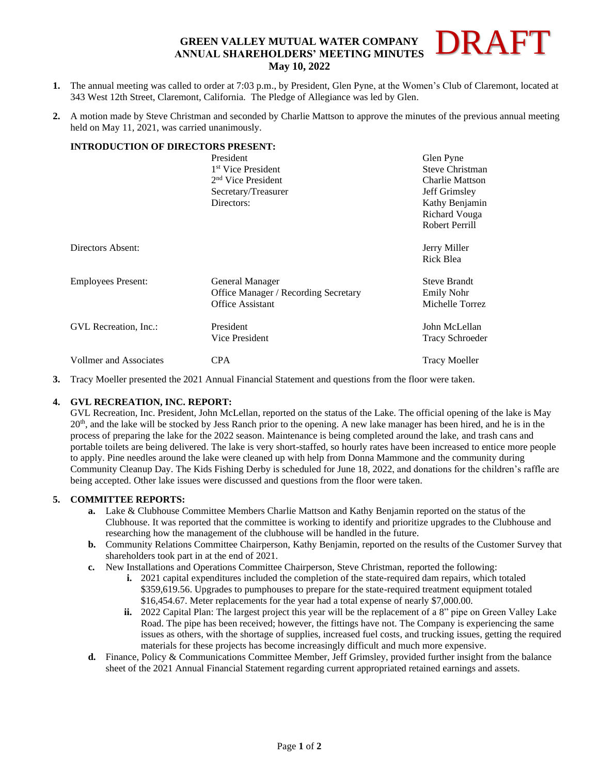#### **GREEN VALLEY MUTUAL WATER COMPANY ANNUAL SHAREHOLDERS' MEETING MINUTES May 10, 2022** DRAFT

- **1.** The annual meeting was called to order at 7:03 p.m., by President, Glen Pyne, at the Women's Club of Claremont, located at 343 West 12th Street, Claremont, California. The Pledge of Allegiance was led by Glen.
- **2.** A motion made by Steve Christman and seconded by Charlie Mattson to approve the minutes of the previous annual meeting held on May 11, 2021, was carried unanimously.

## **INTRODUCTION OF DIRECTORS PRESENT:**

|                           | President                                   | Glen Pyne              |
|---------------------------|---------------------------------------------|------------------------|
|                           | 1 <sup>st</sup> Vice President              | Steve Christman        |
|                           | 2 <sup>nd</sup> Vice President              | <b>Charlie Mattson</b> |
|                           | Secretary/Treasurer                         | <b>Jeff Grimsley</b>   |
|                           | Directors:                                  | Kathy Benjamin         |
|                           |                                             | Richard Vouga          |
|                           |                                             | Robert Perrill         |
| Directors Absent:         |                                             | Jerry Miller           |
|                           |                                             | Rick Blea              |
| <b>Employees Present:</b> | General Manager                             | <b>Steve Brandt</b>    |
|                           | <b>Office Manager / Recording Secretary</b> | <b>Emily Nohr</b>      |
|                           | <b>Office Assistant</b>                     | Michelle Torrez        |
| GVL Recreation, Inc.:     | President                                   | John McLellan          |
|                           | Vice President                              | <b>Tracy Schroeder</b> |
| Vollmer and Associates    | <b>CPA</b>                                  | <b>Tracy Moeller</b>   |

**3.** Tracy Moeller presented the 2021 Annual Financial Statement and questions from the floor were taken.

### **4. GVL RECREATION, INC. REPORT:**

GVL Recreation, Inc. President, John McLellan, reported on the status of the Lake. The official opening of the lake is May  $20<sup>th</sup>$ , and the lake will be stocked by Jess Ranch prior to the opening. A new lake manager has been hired, and he is in the process of preparing the lake for the 2022 season. Maintenance is being completed around the lake, and trash cans and portable toilets are being delivered. The lake is very short-staffed, so hourly rates have been increased to entice more people to apply. Pine needles around the lake were cleaned up with help from Donna Mammone and the community during Community Cleanup Day. The Kids Fishing Derby is scheduled for June 18, 2022, and donations for the children's raffle are being accepted. Other lake issues were discussed and questions from the floor were taken.

### **5. COMMITTEE REPORTS:**

- **a.** Lake & Clubhouse Committee Members Charlie Mattson and Kathy Benjamin reported on the status of the Clubhouse. It was reported that the committee is working to identify and prioritize upgrades to the Clubhouse and researching how the management of the clubhouse will be handled in the future.
- **b.** Community Relations Committee Chairperson, Kathy Benjamin, reported on the results of the Customer Survey that shareholders took part in at the end of 2021.
- **c.** New Installations and Operations Committee Chairperson, Steve Christman, reported the following:
	- **i.** 2021 capital expenditures included the completion of the state-required dam repairs, which totaled \$359,619.56. Upgrades to pumphouses to prepare for the state-required treatment equipment totaled \$16,454.67. Meter replacements for the year had a total expense of nearly \$7,000.00.
	- **ii.** 2022 Capital Plan: The largest project this year will be the replacement of a 8" pipe on Green Valley Lake Road. The pipe has been received; however, the fittings have not. The Company is experiencing the same issues as others, with the shortage of supplies, increased fuel costs, and trucking issues, getting the required materials for these projects has become increasingly difficult and much more expensive.
- **d.** Finance, Policy & Communications Committee Member, Jeff Grimsley, provided further insight from the balance sheet of the 2021 Annual Financial Statement regarding current appropriated retained earnings and assets.